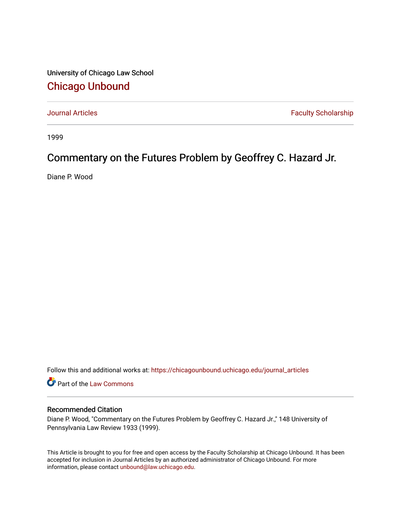University of Chicago Law School [Chicago Unbound](https://chicagounbound.uchicago.edu/)

[Journal Articles](https://chicagounbound.uchicago.edu/journal_articles) **Faculty Scholarship Faculty Scholarship** 

1999

# Commentary on the Futures Problem by Geoffrey C. Hazard Jr.

Diane P. Wood

Follow this and additional works at: [https://chicagounbound.uchicago.edu/journal\\_articles](https://chicagounbound.uchicago.edu/journal_articles?utm_source=chicagounbound.uchicago.edu%2Fjournal_articles%2F4950&utm_medium=PDF&utm_campaign=PDFCoverPages) 

Part of the [Law Commons](http://network.bepress.com/hgg/discipline/578?utm_source=chicagounbound.uchicago.edu%2Fjournal_articles%2F4950&utm_medium=PDF&utm_campaign=PDFCoverPages)

## Recommended Citation

Diane P. Wood, "Commentary on the Futures Problem by Geoffrey C. Hazard Jr.," 148 University of Pennsylvania Law Review 1933 (1999).

This Article is brought to you for free and open access by the Faculty Scholarship at Chicago Unbound. It has been accepted for inclusion in Journal Articles by an authorized administrator of Chicago Unbound. For more information, please contact [unbound@law.uchicago.edu](mailto:unbound@law.uchicago.edu).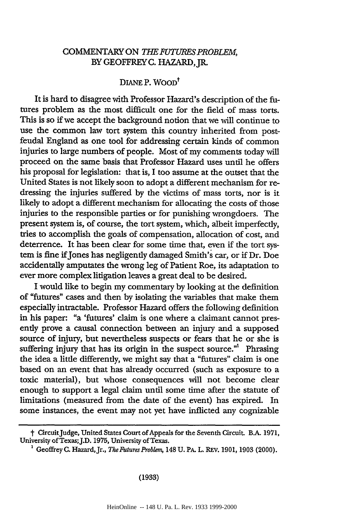#### COMMENTARY ON *THE UTURES PROBLEM,* BY GEOFFREY C. HAZARD, JR.

### DIANE P. WOOD<sup>†</sup>

It is hard to disagree with Professor Hazard's description of the futures problem as the most difficult one for the field of mass torts. This is so if we accept the background notion that we will continue to use the common law tort system this country inherited from postfeudal England as one tool for addressing certain kinds of common injuries to large numbers of people. Most of my comments today will proceed on the same basis that Professor Hazard uses until he offers his proposal for legislation: that is, I too assume at the outset that the United States is not likely soon to adopt a different mechanism for redressing the injuries suffered by the victims of mass torts, nor is it likely to adopt a different mechanism for allocating the costs of those injuries to the responsible parties or for punishing wrongdoers. The present system is, of course, the tort system, which, albeit imperfectly, tries to accomplish the goals of compensation, allocation of cost, and deterrence. It has been clear for some time that, even if the tort system is fine ifJones has negligently damaged Smith's car, or if Dr. Doe accidentally amputates the wrong leg of Patient Roe, its adaptation to ever more complex litigation leaves a great deal to be desired.

I would like to begin my commentary by looking at the definition of "futures" cases and then by isolating the variables that make them especially intractable. Professor Hazard offers the following definition in his paper: "a 'futures' claim is one where a claimant cannot presently prove a causal connection between an injury and a supposed source of injury, but nevertheless suspects or fears that he or she is suffering injury that has its origin in the suspect source."<sup>1</sup> Phrasing the idea a little differently, we might say that a "futures" claim is one based on an event that has already occurred (such as exposure to a toxic material), but whose consequences will not become clear enough to support a legal claim until some time after the statute of limitations (measured from the date of the event) has expired. In some instances, the event may not yet have inflicted any cognizable

#### (1933)

t CircuitJudge, United States Court ofAppeals for the Seventh Circuit. B.A. 1971, University of Texas;J.D. 1975, University of Texas.

<sup>&</sup>lt;sup>1</sup> Geoffrey C. Hazard, Jr., *The Futures Problem*, 148 U. PA. L. REV. 1901, 1903 (2000).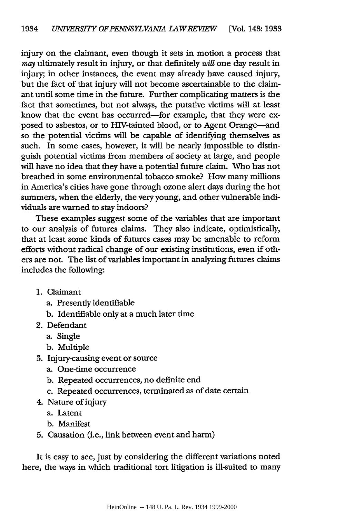injury on the claimant, even though it sets in motion a process that may ultimately result in injury, or that definitely *will* one day result in injury; in other instances, the event may already have caused injury, but the fact of that injury will not become ascertainable to the claimant until some time in the future. Further complicating matters is the fact that sometimes, but not always, the putative victims will at least know that the event has occurred-for example, that they were exposed to asbestos, or to HIV-tainted blood, or to Agent Orange-and so the potential victims will be capable of identifying themselves as such. In some cases, however, it will be nearly impossible to distinguish potential victims from members of society at large, and people will have no idea that they have a potential future claim. Who has not breathed in some environmental tobacco smoke? How many millions in America's cities have gone through ozone alert days during the hot summers, when the elderly, the very young, and other vulnerable individuals are warned to stay indoors?

These examples suggest some of the variables that are important to our analysis of futures claims. They also indicate, optimistically, that at least some kinds of futures cases may be amenable to reform efforts without radical change of our existing institutions, even if others are not. The list of variables important in analyzing futures claims includes the following:

- 1. Claimant
	- a. Presently identifiable
	- **b.** Identifiable only at a much later time
- 2. Defendant
	- a. Single
	- b. Multiple
- 3. Injury-causing event or source
	- a. One-time occurrence
	- b. Repeated occurrences, no definite end
	- c. Repeated occurrences, terminated as of date certain
- 4. Nature of injury
	- a. Latent
	- b. Manifest
- 5. Causation (i.e., link between event and harm)

It is easy to see, just by considering the different variations noted here, the ways in which traditional tort litigation is ill-suited to many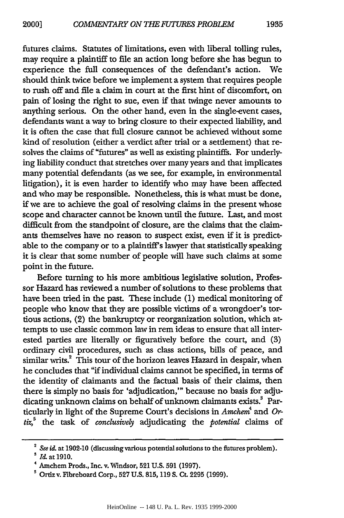futures claims. Statutes of limitations, even with liberal tolling rules, may require a plaintiff to file an action long before she has begun to experience the full consequences of the defendant's action. We should think twice before we implement a system that requires people to rush off and file a claim in court at the first hint of discomfort, on pain of losing the right to sue, even if that twinge never amounts to anything serious. On the other hand, even in the single-event cases, defendants want a way to bring closure to their expected liability, and it is often the case that full closure cannot be achieved without some kind of resolution (either a verdict after trial or a settlement) that resolves the claims of "futures" as well as existing plaintiffs. For underlying liability conduct that stretches over many years and that implicates many potential defendants (as we see, for example, in environmental litigation), it is even harder to identify who may have been affected and who may be responsible. Nonetheless, this is what must be done, if we are to achieve the goal of resolving claims in the present whose scope and character cannot be known until the future. Last, and most difficult from the standpoint of closure, are the claims that the claimants themselves have no reason to suspect exist, even if it is predictable to the company or to a plaintiff's lawyer that statistically speaking it is clear that some number of people will have such claims at some point in the future.

Before turning to his more ambitious legislative solution, Professor Hazard has reviewed a number of solutions to these problems that have been tried in the past. These include (1) medical monitoring of people who know that they are possible victims of a wrongdoer's tortious actions, (2) the bankruptcy or reorganization solution, which attempts to use classic common law in rem ideas to ensure that all interested parties are literally or figuratively before the court, and (3) ordinary civil procedures, such as class actions, bills of peace, and similar writs.<sup>2</sup> This tour of the horizon leaves Hazard in despair, when he concludes that "if individual claims cannot be specified, in terms of the identity of claimants and the factual basis of their claims, then there is simply no basis for 'adjudication,'" because no basis for adjudicating unknown claims on behalf of unknown claimants exists.<sup>3</sup> Particularly in light of the Supreme Court's decisions in *Amchem4* and *Ortiz,5* the task of *conclusively* adjudicating the *potential* claims of

<sup>&</sup>lt;sup>2</sup> See id. at 1902-10 (discussing various potential solutions to the futures problem).

**<sup>3</sup> M** at **1910.**

<sup>4</sup> Amchem Prods., Inc. v. 'Windsor, 521 U.S. **<sup>591</sup>**(1997).

<sup>5</sup>Ortizv. Fibreboard Corp., **527** U.S. 815, 119 **S. Ct.** 2295 (1999).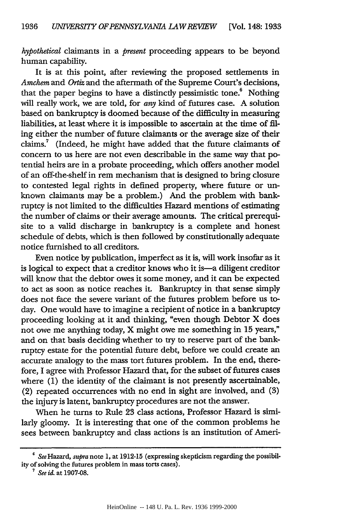*hypothetical* claimants in a *present* proceeding appears to be beyond human capability.

It is at this point, after reviewing the proposed settlements in *Amchem* and *Ortiz* and the aftermath of the Supreme Court's decisions, that the paper begins to have a distinctly pessimistic tone.<sup>6</sup> Nothing will really work, we are told, for *any* kind of futures case. A solution based on bankruptcy is doomed because of the difficulty in measuring liabilities, at least where it is impossible to ascertain at the time of filing either the number of future claimants or the average size of their claims.<sup>7</sup> (Indeed, he might have added that the future claimants of concern to us here are not even describable in the same way that potential heirs are in a probate proceeding, which offers another model of an off-the-shelf in rem mechanism that is designed to bring closure to contested legal rights in defined property, where future or unknown claimants may be a problem.) And the problem with bankruptcy is not limited to the difficulties Hazard mentions of estimating the number of claims or their average amounts. The critical prerequisite to a valid discharge in bankruptcy is a complete and honest schedule of debts, which is then followed by constitutionally adequate notice furnished to all creditors.

Even notice by publication, imperfect as it is, will work insofar as it is logical to expect that a creditor knows who it is-a diligent creditor will know that the debtor owes it some money, and it can be expected to act as soon as notice reaches it. Bankruptcy in that sense simply does not face the severe variant of the futures problem before us today. One would have to imagine a recipient of notice in a bankruptcy proceeding looking at it and thinking, "even though Debtor X does not owe me anything today, X might owe me something in 15 years," and on that basis deciding whether to try to reserve part of the bankruptcy estate for the potential future debt, before we could create an accurate analogy to the mass tort futures problem. In the end, therefore, I agree with Professor Hazard that, for the subset of futures cases where (1) the identity of the claimant is not presently ascertainable, (2) repeated occurrences with no end in sight are involved, and **(3)** the injury is latent, bankruptcy procedures are not the answer.

When he turns to Rule 23 class actions, Professor Hazard is similarly gloomy. It is interesting that one of the common problems he sees between bankruptcy and class actions is an institution of Ameri-

SeeHazard, *supra* note 1, at 1912-15 (expressing skepticism regarding the possibility of solving the futures problem in mass torts cases). **<sup>7</sup>***See it* at 1907-08.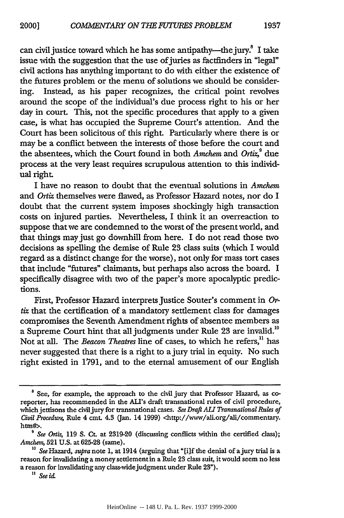can civil justice toward which he has some antipathy—the jury. $5$  I take issue with the suggestion that the use of juries as factfinders in "legal" civil actions has anything important to do with either the existence of the futures problem or the menu of solutions we should be considering. Instead, as his paper recognizes, the critical point revolves around the scope of the individual's due process right to his or her day in court. This, not the specific procedures that apply to a given case, is what has occupied the Supreme Court's attention. And the Court has been solicitous of this right. Particularly where there is or may be a conflict between the interests of those before the court and the absentees, which the Court found in both *Amchem* and *Ortiz*,<sup>9</sup> due process at the very least requires scrupulous attention to this individual right.

I have no reason to doubt that the eventual solutions in *Amchem* and *Ortiz* themselves were flawed, as Professor Hazard notes, nor do I doubt that the current system imposes shockingly high transaction costs on injured parties. Nevertheless, I think it an overreaction to suppose that we are condemned to the worst of the present world, and that things may just go downhill from here. I do not read those two decisions as spelling the demise of Rule 23 class suits (which I would regard as a distinct change for the worse), not only for mass tort cases that include "futures" claimants, but perhaps also across the board. I specifically disagree with two of the paper's more apocalyptic predictions.

First, Professor Hazard interprets justice Souter's comment in *Ortiz* that the certification of a mandatory settlement class for damages compromises the Seventh Amendment rights of absentee members as a Supreme Court hint that all judgments under Rule 23 are invalid.<sup>10</sup> Not at all. The *Beacon Theatres* line of cases, to which he refers," has never suggested that there is a right to ajury trial in equity. No such right existed in 1791, and to the eternal amusement of our English

**<sup>8</sup>** See, for example, the approach to the civil jury that Professor Hazard, as coreporter, has recommended in the ALI's draft transnational rules of civil procedure, which jettisons the civil jury for transnational cases. *See Draft* **ALI** *Transnational Rules of Civil Procedur,* Rule 4 cmt. 4.3 (Jan. 14 1999) <http://www/ali.org/ali/commentary. htn#>.

**<sup>9</sup>** *See Ortz,* 119 S. Ct. at 2319-20 (discussing conflicts within the certified class); *Amcher,* **521 U.S.** at **625-28** (same).

**<sup>&#</sup>x27;o** SeeHazard, *supra* note **1,** at 1914 (arguing that "[i]f the denial of ajury trial is a reason for invalidating a money settlement in a Rule **23** class suit, it would seem no less a reason for invalidating any class-widejudgment under Rule 23").

*<sup>&</sup>quot; See id.*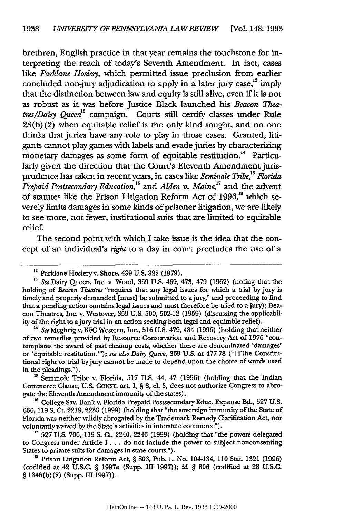brethren, English practice in that year remains the touchstone for interpreting the reach of today's Seventh Amendment. In fact, cases like *Parklane Hosiery,* which permitted issue preclusion from earlier concluded non-jury adjudication to apply in a later jury case, $^{12}$  imply that the distinction between law and equity is still alive, even if it is not as robust as it was before Justice Black launched his *Beacon Theatres/Dairy Queen*<sup>13</sup> campaign. Courts still certify classes under Rule 23 (b) (2) when equitable relief is the only kind sought, and no one thinks that juries have any role to play in those cases. Granted, litigants cannot play games with labels and evade juries by characterizing monetary damages as some form of equitable restitution.<sup>14</sup> Particularly given the direction that the Court's Eleventh Amendment jurisprudence has taken in recent years, in cases like *Seminole Tribe,'5 Forida Prepaid Postsecondary Education,16* and *Alden v. Maine,17* and the advent of statutes like the Prison Litigation Reform Act of 1996,<sup>18</sup> which severely limits damages in some kinds of prisoner litigation, we are likely to see more, not fewer, institutional suits that are limited to equitable relief.

The second point with which I take issue is the idea that the concept of an individual's *right* to a day in court precludes the use of a

of two remedies provided by Resource Conservation and Recovery Act of 1976 "contemplates the award of past cleanup costs, whether these are denominated 'damages' or 'equitable restitution.'"); *see also Dairy Queen,* 369 U.S. at 477-78 ("[T]he Constitutional right to trial by jury cannot be made to depend upon the choice of words used in the pleadings.").

**'s** Seminole Tribe v. Florida, 517 U.S. 44, 47 (1996) (holding that the Indian Commerce Clause, U.S. CONST. art. 1, § **8,** cl. **3,** does not authorize Congress to abrogate the Eleventh Amendment immunity of the states).

**'6** College Say. Bank v. Florida Prepaid Postsecondary Educ. Expense Bd., 527 U.S. 666, 119 **S.** Ct. 2219, 2233 (1999) (holding that "the sovereign immunity of the State of Florida was neither validiy abrogated by the Trademark Remedy Clarification Act, nor voluntarily waived by the State's activities in interstate commerce").

**<sup>17</sup>**527 U.S. 706, 119 **S.** Ct. 2240, 2246 (1999) (holding that "the powers delegated to Congress under Article I **...** do not include the power to subject nonconsenting States to private suits for damages in state courts.").

**<sup>18</sup>**Prison Litigation Reform Act, § 803, Pub. L. No. 104-134, 110 Stat. 1321 (1996) (codified at 42 U.S.C. § 1997e (Supp. III 1997)); *i&* § 806 (codified at 28 U.S.C. § 1346(b)(2) (Supp. III 1997)).

<sup>&</sup>lt;sup>12</sup> Parklane Hosiery v. Shore, 439 U.S. 322 (1979).

*<sup>&#</sup>x27;s See* Dairy Queen, Inc. v. Wood, 369 U.S. 469, 473, 479 (1962) (noting that the holding of *Beacon Theatres* "requires that any legal issues for which a trial by jury is timely and properly demanded [must] be submitted to ajury," and proceeding to find that a pending action contains legal issues and must therefore be tried to ajury); Beacon Theatres, Inc. v. Westover, 359 U.S. 500, 502-12 (1959) (discussing the applicability of the right to a jury trial in an action seeking both legal and equitable relief).<br><sup>14</sup> *See* Meghrig v. KFC Western, Inc., 516 U.S. 479, 484 (1996) (holding that neither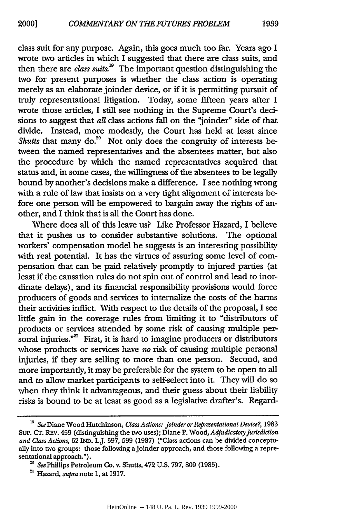class suit for any purpose. Again, this goes much too far. Years ago I wrote two articles in which I suggested that there are class suits, and then there are *class suits.'9* The important question distinguishing the two for present purposes is whether the class action is operating merely as an elaborate joinder device, or if it is permitting pursuit of truly representational litigation. Today, some fifteen years after I wrote those articles, I still see nothing in the Supreme Court's decisions to suggest that *al* class actions fall on the "joinder" side of that divide. Instead, more modestly, the Court has held at least since Shutts that many do.<sup>20</sup> Not only does the congruity of interests between the named representatives and the absentees matter, but also the procedure by which the named representatives acquired that status and, in some cases, the willingness of the absentees to be legally bound by another's decisions make a difference. I see nothing wrong with a rule of law that insists on a very tight alignment of interests before one person will be empowered to bargain away the rights of another, and I think that is all the Court has done.

Where does all of this leave us? Like Professor Hazard, I believe that it pushes us to consider substantive solutions. The optional workers' compensation model he suggests is an interesting possibility with real potential. It has the virtues of assuring some level of compensation that can be paid relatively promptly to injured parties (at least if the causation rules do not spin out of control and lead to inordinate delays), and its financial responsibility provisions would force producers of goods and services to internalize the costs of the harms their activities inflict. With respect to the details of the proposal, I see little gain in the coverage rules from limiting it to "distributors of products or services attended by some risk of causing multiple personal injuries."<sup>21</sup> First, it is hard to imagine producers or distributors whose products or services have *no* risk of causing multiple personal injuries, if they are selling to more than one person. Second, and more importantly, it may be preferable for the system to be open to all and to allow market participants to self-select into it. They will do so when they think it advantageous, and their guess about their liability risks is bound to be at least as good as a legislative drafter's. Regard-

<sup>&</sup>lt;sup>19</sup> See Diane Wood Hutchinson, *Class Actions: Joinder or Representational Device?*, 1983 SUP. CT. REV. 459 (distinguishing the two uses); Diane P. Wood, *Adjudicatory Jurisdiction and Class Actions,* 62 IND. LJ. 597, 599 (1987) ("Class actions can be divided conceptually into two groups: those following ajoinder approach, and those following a representational approach.").

**<sup>&#</sup>x27;0** SeePhillips Petroleum Co. v. Shutts, 472 U.S. 797,809 (1985). 21 Hazard, *supra* note 1, at 1917.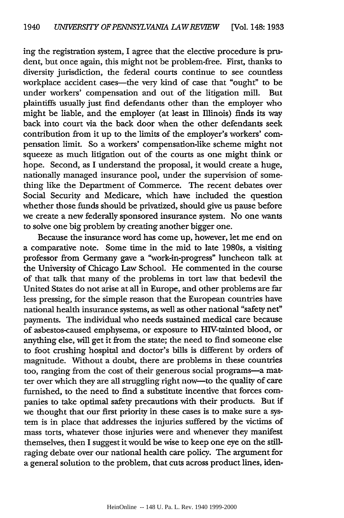ing the registration system, I agree that the elective procedure is prudent, but once again, this might not be problem-free. First, thanks to diversity jurisdiction, the federal courts continue to see countless workplace accident cases-the very kind of case that "ought" to be under workers' compensation and out of the litigation mill. But plaintiffs usually just find defendants other than the employer who might be liable, and the employer (at least in Illinois) finds its way back into court via the back door when the other defendants seek contribution from it up to the limits of the employer's workers' compensation limit. So a workers' compensation-like scheme might not squeeze as much litigation out of the courts as one might think or hope. Second, as I understand the proposal, it would create a huge, nationally managed insurance pool, under the supervision of something like the Department of Commerce. The recent debates over Social Security and Medicare, which have included the question whether those funds should be privatized, should give us pause before we create a new federally sponsored insurance system. No one wants to solve one big problem by creating another bigger one.

Because the insurance word has come up, however, let me end on a comparative note. Some time in the mid to late 1980s, a visiting professor from Germany gave a "work-in-progress" luncheon talk at the University of Chicago Law School. He commented in the course of that talk that many of the problems in tort law that bedevil the United States do not arise at all in Europe, and other problems are far less pressing, for the simple reason that the European countries have national health insurance systems, as well as other national "safety net" payments. The individual who needs sustained medical care because of asbestos-caused emphysema, or exposure to HIV-tainted blood, or anything else, will get it from the state; the need to find someone else to foot crushing hospital and doctor's bills is different by orders of magnitude. Without a doubt, there are problems in these countries too, ranging from the cost of their generous social programs-a matter over which they are all struggling right now-to the quality of care furnished, to the need to find a substitute incentive that forces companies to take optimal safety precautions with their products. But if we thought that our first priority in these cases is to make sure a system is in place that addresses the injuries suffered by the victims of mass torts, whatever those injuries were and whenever they manifest themselves, then I suggest it would be wise to keep one eye on the stillraging debate over our national health care policy. The argument for a general solution to the problem, that cuts across product lines, iden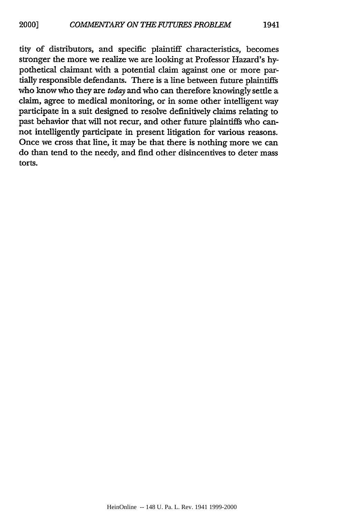stronger the more we realize we are looking at Professor Hazard's hypothetical claimant with a potential claim against one or more partially responsible defendants. There is a line between future plaintiffs who know who they are *today* and who can therefore knowingly settle a claim, agree to medical monitoring, or in some other intelligent way participate in a suit designed to resolve definitively claims relating to past behavior that will not recur, and other future plaintiffs who cannot intelligently participate in present litigation for various reasons. Once we cross that line, it may be that there is nothing more we can do than tend to the needy, and find other disincentives to deter mass torts.